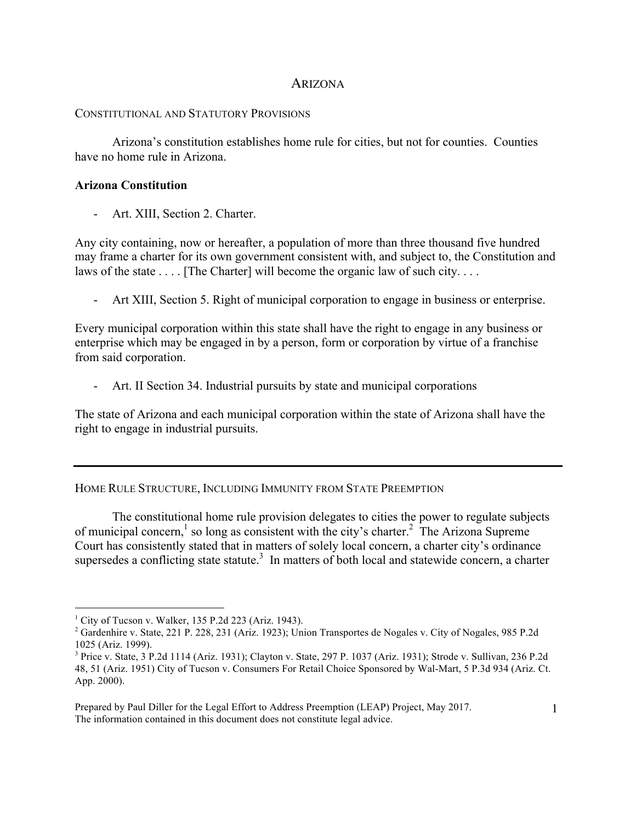## ARIZONA

## CONSTITUTIONAL AND STATUTORY PROVISIONS

Arizona's constitution establishes home rule for cities, but not for counties. Counties have no home rule in Arizona.

## **Arizona Constitution**

- Art. XIII, Section 2. Charter.

Any city containing, now or hereafter, a population of more than three thousand five hundred may frame a charter for its own government consistent with, and subject to, the Constitution and laws of the state . . . . [The Charter] will become the organic law of such city. . . .

- Art XIII, Section 5. Right of municipal corporation to engage in business or enterprise.

Every municipal corporation within this state shall have the right to engage in any business or enterprise which may be engaged in by a person, form or corporation by virtue of a franchise from said corporation.

- Art. II Section 34. Industrial pursuits by state and municipal corporations

The state of Arizona and each municipal corporation within the state of Arizona shall have the right to engage in industrial pursuits.

HOME RULE STRUCTURE, INCLUDING IMMUNITY FROM STATE PREEMPTION

The constitutional home rule provision delegates to cities the power to regulate subjects of municipal concern,<sup>1</sup> so long as consistent with the city's charter.<sup>2</sup> The Arizona Supreme Court has consistently stated that in matters of solely local concern, a charter city's ordinance supersedes a conflicting state statute.<sup>3</sup> In matters of both local and statewide concern, a charter

 $1$  City of Tucson v. Walker, 135 P.2d 223 (Ariz. 1943).

<sup>2</sup> Gardenhire v. State, 221 P. 228, 231 (Ariz. 1923); Union Transportes de Nogales v. City of Nogales, 985 P.2d 1025 (Ariz. 1999).

<sup>3</sup> Price v. State, 3 P.2d 1114 (Ariz. 1931); Clayton v. State, 297 P. 1037 (Ariz. 1931); Strode v. Sullivan, 236 P.2d 48, 51 (Ariz. 1951) City of Tucson v. Consumers For Retail Choice Sponsored by Wal-Mart, 5 P.3d 934 (Ariz. Ct. App. 2000).

Prepared by Paul Diller for the Legal Effort to Address Preemption (LEAP) Project, May 2017. The information contained in this document does not constitute legal advice.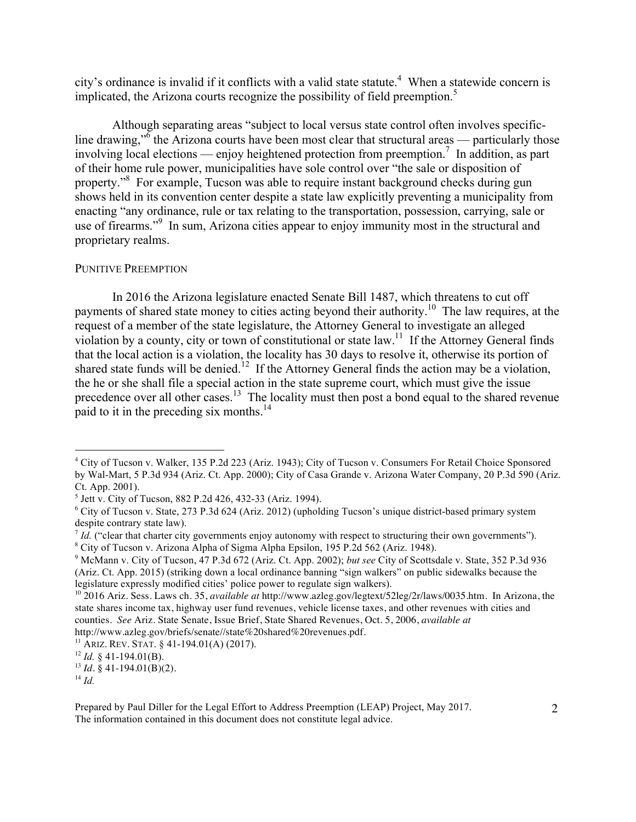city's ordinance is invalid if it conflicts with a valid state statute.<sup>4</sup> When a statewide concern is implicated, the Arizona courts recognize the possibility of field preemption.<sup>5</sup>

Although separating areas "subject to local versus state control often involves specificline drawing,"<sup> $\delta$ </sup> the Arizona courts have been most clear that structural areas — particularly those involving local elections — enjoy heightened protection from preemption.<sup>7</sup> In addition, as part of their home rule power, municipalities have sole control over "the sale or disposition of property."8 For example, Tucson was able to require instant background checks during gun shows held in its convention center despite a state law explicitly preventing a municipality from enacting "any ordinance, rule or tax relating to the transportation, possession, carrying, sale or use of firearms."<sup>9</sup> In sum, Arizona cities appear to enjoy immunity most in the structural and proprietary realms.

## PUNITIVE PREEMPTION

In 2016 the Arizona legislature enacted Senate Bill 1487, which threatens to cut off payments of shared state money to cities acting beyond their authority.<sup>10</sup> The law requires, at the request of a member of the state legislature, the Attorney General to investigate an alleged violation by a county, city or town of constitutional or state  $law<sup>11</sup>$ . If the Attorney General finds that the local action is a violation, the locality has 30 days to resolve it, otherwise its portion of shared state funds will be denied.<sup>12</sup> If the Attorney General finds the action may be a violation, the he or she shall file a special action in the state supreme court, which must give the issue precedence over all other cases.<sup>13</sup> The locality must then post a bond equal to the shared revenue paid to it in the preceding six months.14

 <sup>4</sup> City of Tucson v. Walker, 135 P.2d 223 (Ariz. 1943); City of Tucson v. Consumers For Retail Choice Sponsored by Wal-Mart, 5 P.3d 934 (Ariz. Ct. App. 2000); City of Casa Grande v. Arizona Water Company, 20 P.3d 590 (Ariz. Ct. App. 2001).

<sup>5</sup> Jett v. City of Tucson, 882 P.2d 426, 432-33 (Ariz. 1994).

<sup>6</sup> City of Tucson v. State, 273 P.3d 624 (Ariz. 2012) (upholding Tucson's unique district-based primary system despite contrary state law).

 $^{7}$  *Id.* ("clear that charter city governments enjoy autonomy with respect to structuring their own governments"). <sup>8</sup> City of Tucson v. Arizona Alpha of Sigma Alpha Epsilon, 195 P.2d 562 (Ariz. 1948).

<sup>9</sup> McMann v. City of Tucson, 47 P.3d 672 (Ariz. Ct. App. 2002); *but see* City of Scottsdale v. State, 352 P.3d 936 (Ariz. Ct. App. 2015) (striking down a local ordinance banning "sign walkers" on public sidewalks because the legislature expressly modified cities' police power to regulate sign walkers).

<sup>10 2016</sup> Ariz. Sess. Laws ch. 35, *available at* http://www.azleg.gov/legtext/52leg/2r/laws/0035.htm. In Arizona, the state shares income tax, highway user fund revenues, vehicle license taxes, and other revenues with cities and counties. *See* Ariz. State Senate, Issue Brief, State Shared Revenues, Oct. 5, 2006, *available at* http://www.azleg.gov/briefs/senate//state%20shared%20revenues.pdf.

<sup>&</sup>lt;sup>11</sup> ARIZ. REV. STAT.  $§$  41-194.01(A) (2017).

<sup>12</sup> *Id.* § 41-194.01(B).

 $13$  *Id.* § 41-194.01(B)(2).

<sup>14</sup> *Id.*

Prepared by Paul Diller for the Legal Effort to Address Preemption (LEAP) Project, May 2017. The information contained in this document does not constitute legal advice.